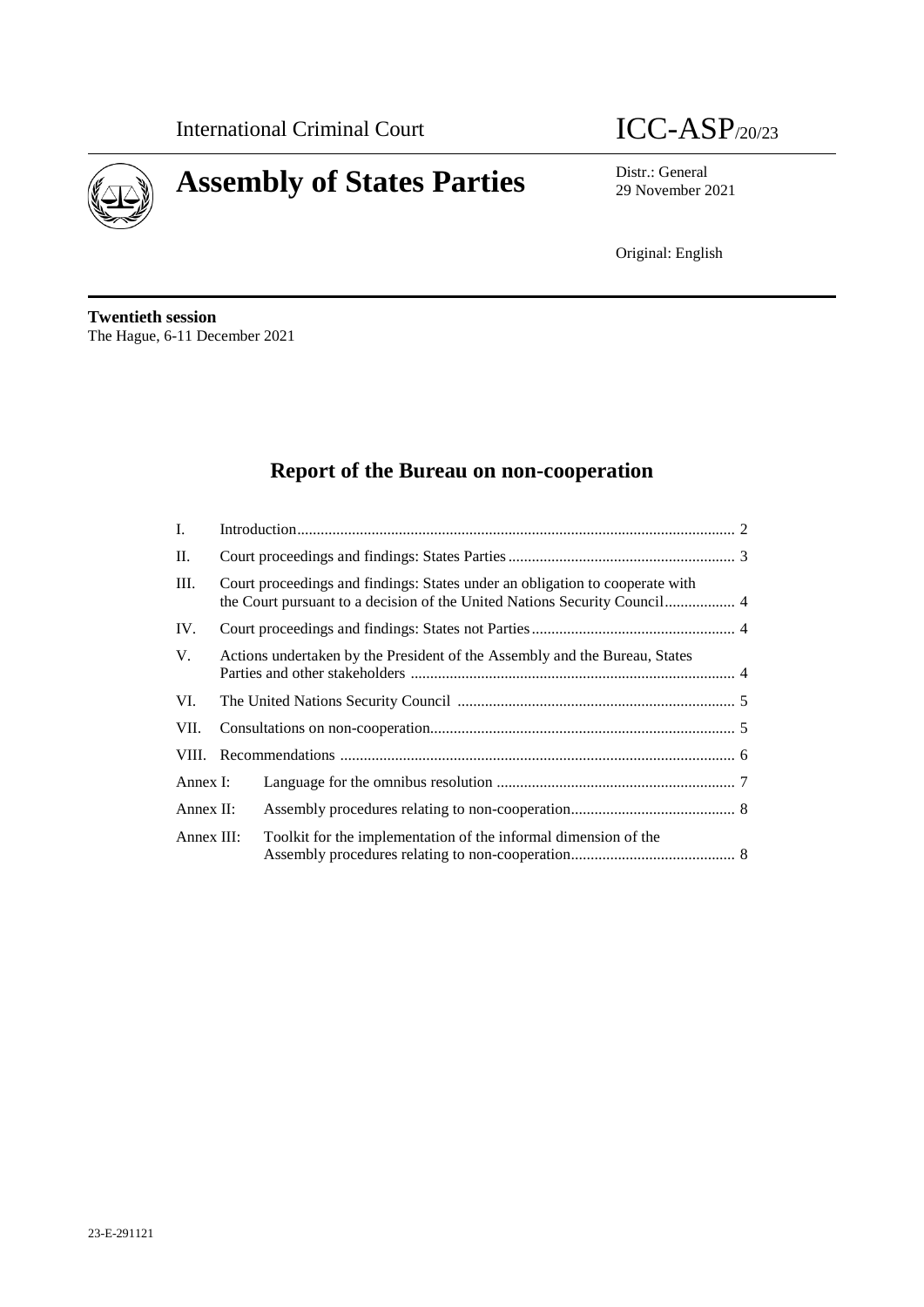



29 November 2021

Original: English

**Twentieth session** The Hague, 6-11 December 2021

# **Report of the Bureau on non-cooperation**

| Ι.         |                                                                              |                                                                 |  |
|------------|------------------------------------------------------------------------------|-----------------------------------------------------------------|--|
| II.        |                                                                              |                                                                 |  |
| III.       | Court proceedings and findings: States under an obligation to cooperate with |                                                                 |  |
| IV.        |                                                                              |                                                                 |  |
| V.         | Actions undertaken by the President of the Assembly and the Bureau, States   |                                                                 |  |
| VI.        |                                                                              |                                                                 |  |
| VII.       |                                                                              |                                                                 |  |
|            |                                                                              |                                                                 |  |
| Annex I:   |                                                                              |                                                                 |  |
| Annex II:  |                                                                              |                                                                 |  |
| Annex III: |                                                                              | Toolkit for the implementation of the informal dimension of the |  |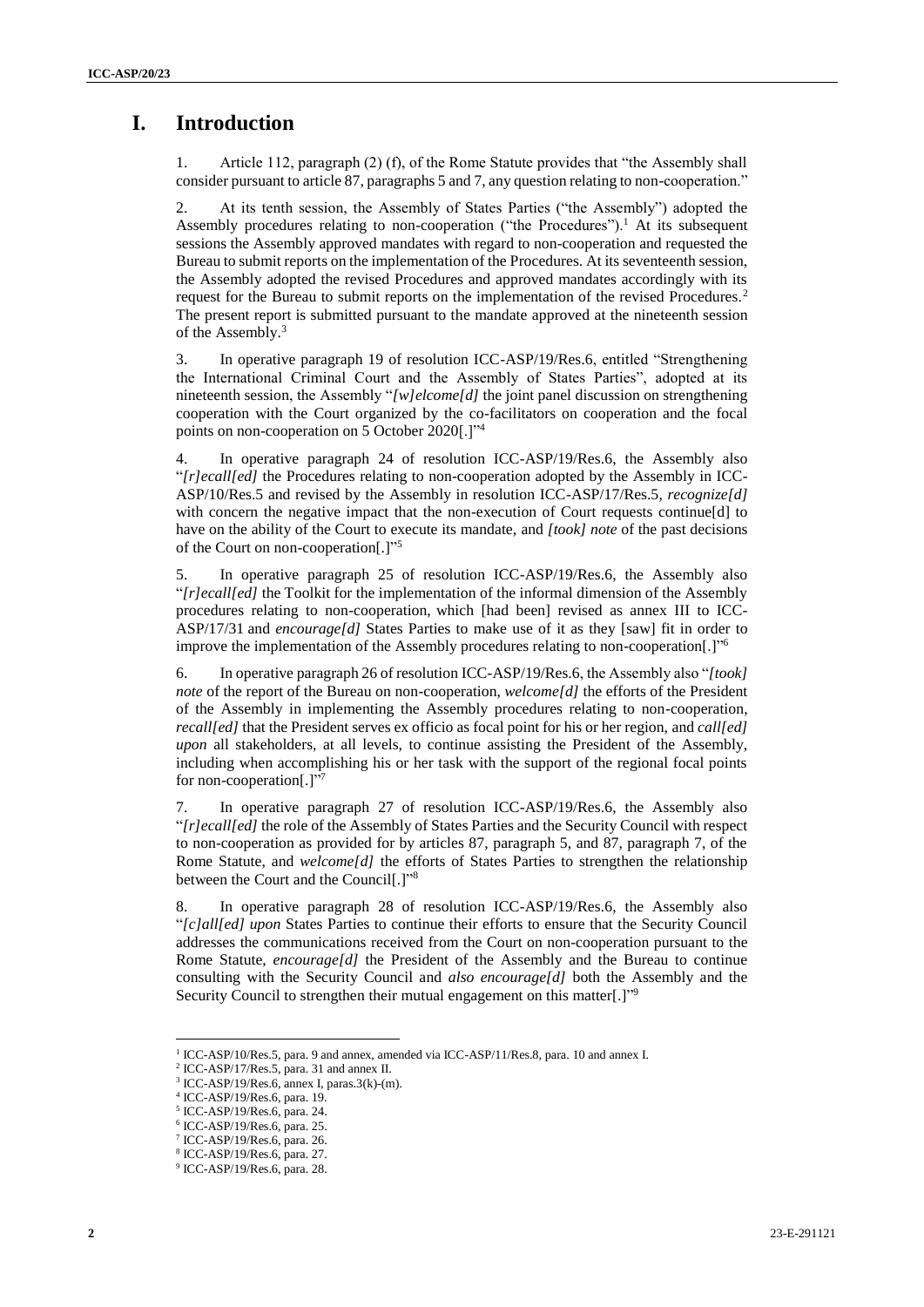# **I. Introduction**

1. Article 112, paragraph (2) (f), of the Rome Statute provides that "the Assembly shall consider pursuant to article 87, paragraphs 5 and 7, any question relating to non-cooperation."

2. At its tenth session, the Assembly of States Parties ("the Assembly") adopted the Assembly procedures relating to non-cooperation ("the Procedures").<sup>1</sup> At its subsequent sessions the Assembly approved mandates with regard to non-cooperation and requested the Bureau to submit reports on the implementation of the Procedures. At its seventeenth session, the Assembly adopted the revised Procedures and approved mandates accordingly with its request for the Bureau to submit reports on the implementation of the revised Procedures.<sup>2</sup> The present report is submitted pursuant to the mandate approved at the nineteenth session of the Assembly. 3

3. In operative paragraph 19 of resolution ICC-ASP/19/Res.6, entitled "Strengthening the International Criminal Court and the Assembly of States Parties", adopted at its nineteenth session, the Assembly "*[w]elcome[d]* the joint panel discussion on strengthening cooperation with the Court organized by the co-facilitators on cooperation and the focal points on non-cooperation on 5 October 2020[.]"<sup>4</sup>

4. In operative paragraph 24 of resolution ICC-ASP/19/Res.6, the Assembly also "*[r]ecall[ed]* the Procedures relating to non-cooperation adopted by the Assembly in ICC-ASP/10/Res.5 and revised by the Assembly in resolution ICC-ASP/17/Res.5, *recognize[d]*  with concern the negative impact that the non-execution of Court requests continue[d] to have on the ability of the Court to execute its mandate, and *[took] note* of the past decisions of the Court on non-cooperation[.]"<sup>5</sup>

5. In operative paragraph 25 of resolution ICC-ASP/19/Res.6, the Assembly also "*[r]ecall[ed]* the Toolkit for the implementation of the informal dimension of the Assembly procedures relating to non-cooperation, which [had been] revised as annex III to ICC-ASP/17/31 and *encourage[d]* States Parties to make use of it as they [saw] fit in order to improve the implementation of the Assembly procedures relating to non-cooperation[.]"

6. In operative paragraph 26 of resolution ICC-ASP/19/Res.6, the Assembly also "*[took] note* of the report of the Bureau on non-cooperation, *welcome[d]* the efforts of the President of the Assembly in implementing the Assembly procedures relating to non-cooperation, *recall[ed]* that the President serves ex officio as focal point for his or her region, and *call[ed] upon* all stakeholders, at all levels, to continue assisting the President of the Assembly, including when accomplishing his or her task with the support of the regional focal points for non-cooperation[.]"7

7. In operative paragraph 27 of resolution ICC-ASP/19/Res.6, the Assembly also "*[r]ecall[ed]* the role of the Assembly of States Parties and the Security Council with respect to non-cooperation as provided for by articles 87, paragraph 5, and 87, paragraph 7, of the Rome Statute, and *welcome[d]* the efforts of States Parties to strengthen the relationship between the Court and the Council[.]"<sup>8</sup>

8. In operative paragraph 28 of resolution ICC-ASP/19/Res.6, the Assembly also "*[c]all[ed] upon* States Parties to continue their efforts to ensure that the Security Council addresses the communications received from the Court on non-cooperation pursuant to the Rome Statute, *encourage[d]* the President of the Assembly and the Bureau to continue consulting with the Security Council and *also encourage[d]* both the Assembly and the Security Council to strengthen their mutual engagement on this matter[.]"<sup>9</sup>

<sup>&</sup>lt;sup>1</sup> ICC-ASP/10/Res.5, para. 9 and annex, amended via ICC-ASP/11/Res.8, para. 10 and annex I.

<sup>2</sup> ICC-ASP/17/Res.5, para. 31 and annex II.

 $3$  ICC-ASP/19/Res.6, annex I, paras.3(k)-(m).

<sup>4</sup> ICC-ASP/19/Res.6, para. 19.

<sup>5</sup> ICC-ASP/19/Res.6, para. 24.

<sup>6</sup> ICC-ASP/19/Res.6, para. 25.

<sup>7</sup> ICC-ASP/19/Res.6, para. 26.

<sup>8</sup> ICC-ASP/19/Res.6, para. 27.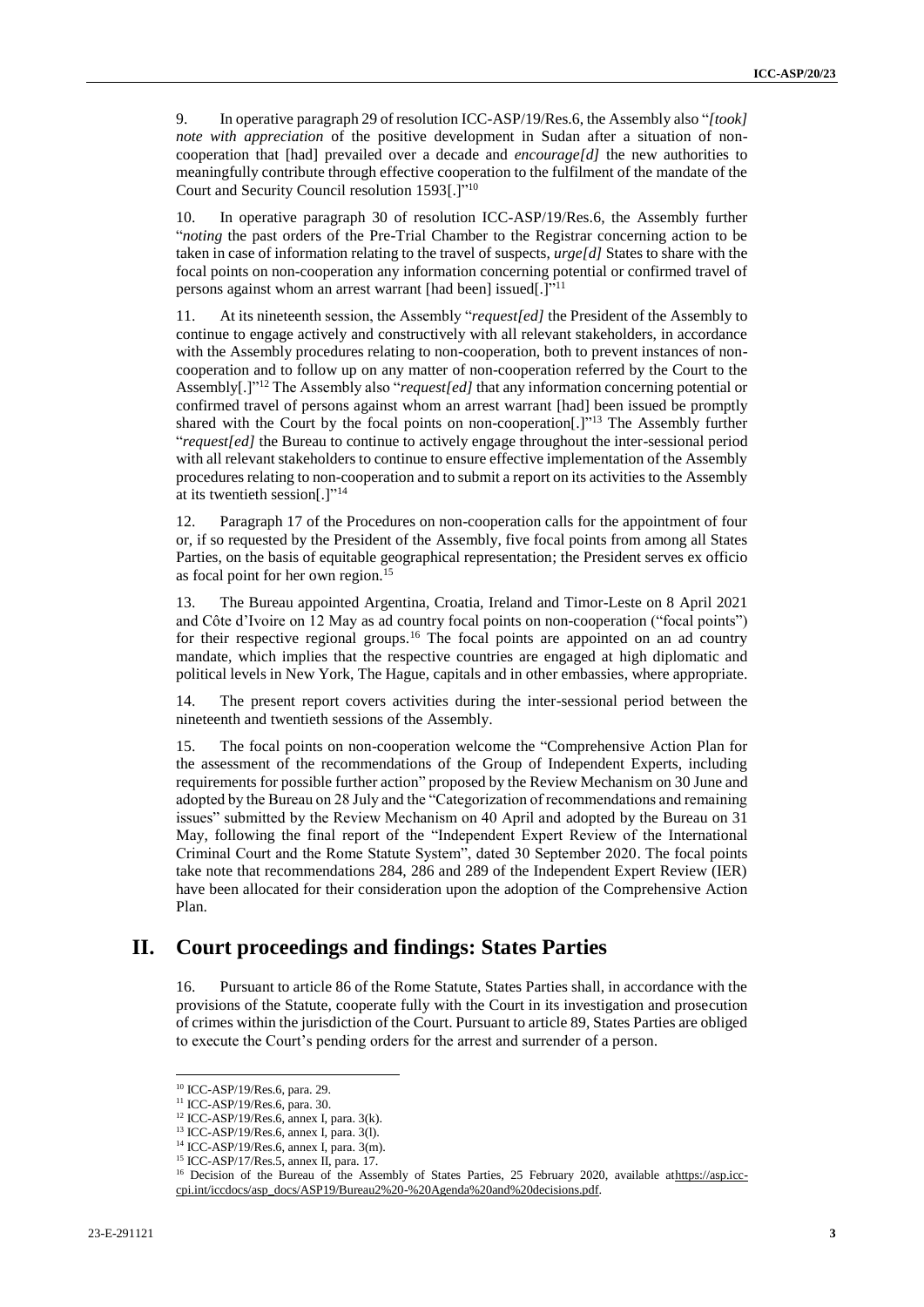9. In operative paragraph 29 of resolution ICC-ASP/19/Res.6, the Assembly also "*[took] note with appreciation* of the positive development in Sudan after a situation of noncooperation that [had] prevailed over a decade and *encourage[d]* the new authorities to meaningfully contribute through effective cooperation to the fulfilment of the mandate of the Court and Security Council resolution 1593[.]"<sup>10</sup>

10. In operative paragraph 30 of resolution ICC-ASP/19/Res.6, the Assembly further "*noting* the past orders of the Pre-Trial Chamber to the Registrar concerning action to be taken in case of information relating to the travel of suspects, *urge[d]* States to share with the focal points on non-cooperation any information concerning potential or confirmed travel of persons against whom an arrest warrant [had been] issued[.]"<sup>11</sup>

11. At its nineteenth session, the Assembly "*request[ed]* the President of the Assembly to continue to engage actively and constructively with all relevant stakeholders, in accordance with the Assembly procedures relating to non-cooperation, both to prevent instances of noncooperation and to follow up on any matter of non-cooperation referred by the Court to the Assembly[.]" <sup>12</sup> The Assembly also "*request[ed]* that any information concerning potential or confirmed travel of persons against whom an arrest warrant [had] been issued be promptly shared with the Court by the focal points on non-cooperation[.]"<sup>13</sup> The Assembly further "*request[ed]* the Bureau to continue to actively engage throughout the inter-sessional period with all relevant stakeholders to continue to ensure effective implementation of the Assembly procedures relating to non-cooperation and to submit a report on its activities to the Assembly at its twentieth session[.]"<sup>14</sup>

12. Paragraph 17 of the Procedures on non-cooperation calls for the appointment of four or, if so requested by the President of the Assembly, five focal points from among all States Parties, on the basis of equitable geographical representation; the President serves ex officio as focal point for her own region.<sup>15</sup>

13. The Bureau appointed Argentina, Croatia, Ireland and Timor-Leste on 8 April 2021 and Côte d'Ivoire on 12 May as ad country focal points on non-cooperation ("focal points") for their respective regional groups.<sup>16</sup> The focal points are appointed on an ad country mandate, which implies that the respective countries are engaged at high diplomatic and political levels in New York, The Hague, capitals and in other embassies, where appropriate.

14. The present report covers activities during the inter-sessional period between the nineteenth and twentieth sessions of the Assembly.

15. The focal points on non-cooperation welcome the "Comprehensive Action Plan for the assessment of the recommendations of the Group of Independent Experts, including requirements for possible further action" proposed by the Review Mechanism on 30 June and adopted by the Bureau on 28 July and the "Categorization of recommendations and remaining issues" submitted by the Review Mechanism on 40 April and adopted by the Bureau on 31 May, following the final report of the "Independent Expert Review of the International Criminal Court and the Rome Statute System", dated 30 September 2020. The focal points take note that recommendations 284, 286 and 289 of the Independent Expert Review (IER) have been allocated for their consideration upon the adoption of the Comprehensive Action Plan.

#### **II. Court proceedings and findings: States Parties**

16. Pursuant to article 86 of the Rome Statute, States Parties shall, in accordance with the provisions of the Statute, cooperate fully with the Court in its investigation and prosecution of crimes within the jurisdiction of the Court. Pursuant to article 89, States Parties are obliged to execute the Court's pending orders for the arrest and surrender of a person.

 $\overline{a}$ 

<sup>10</sup> ICC-ASP/19/Res.6, para. 29.

<sup>11</sup> ICC-ASP/19/Res.6, para. 30.

<sup>12</sup> ICC-ASP/19/Res.6, annex I, para. 3(k).

<sup>13</sup> ICC-ASP/19/Res.6, annex I, para. 3(l).

<sup>14</sup> ICC-ASP/19/Res.6, annex I, para. 3(m).

<sup>15</sup> ICC-ASP/17/Res.5, annex II, para. 17.

<sup>&</sup>lt;sup>16</sup> Decision of the Bureau of the Assembly of States Parties, 25 February 2020, available athttps://asp.icccpi.int/iccdocs/asp\_docs/ASP19/Bureau2%20-%20Agenda%20and%20decisions.pdf.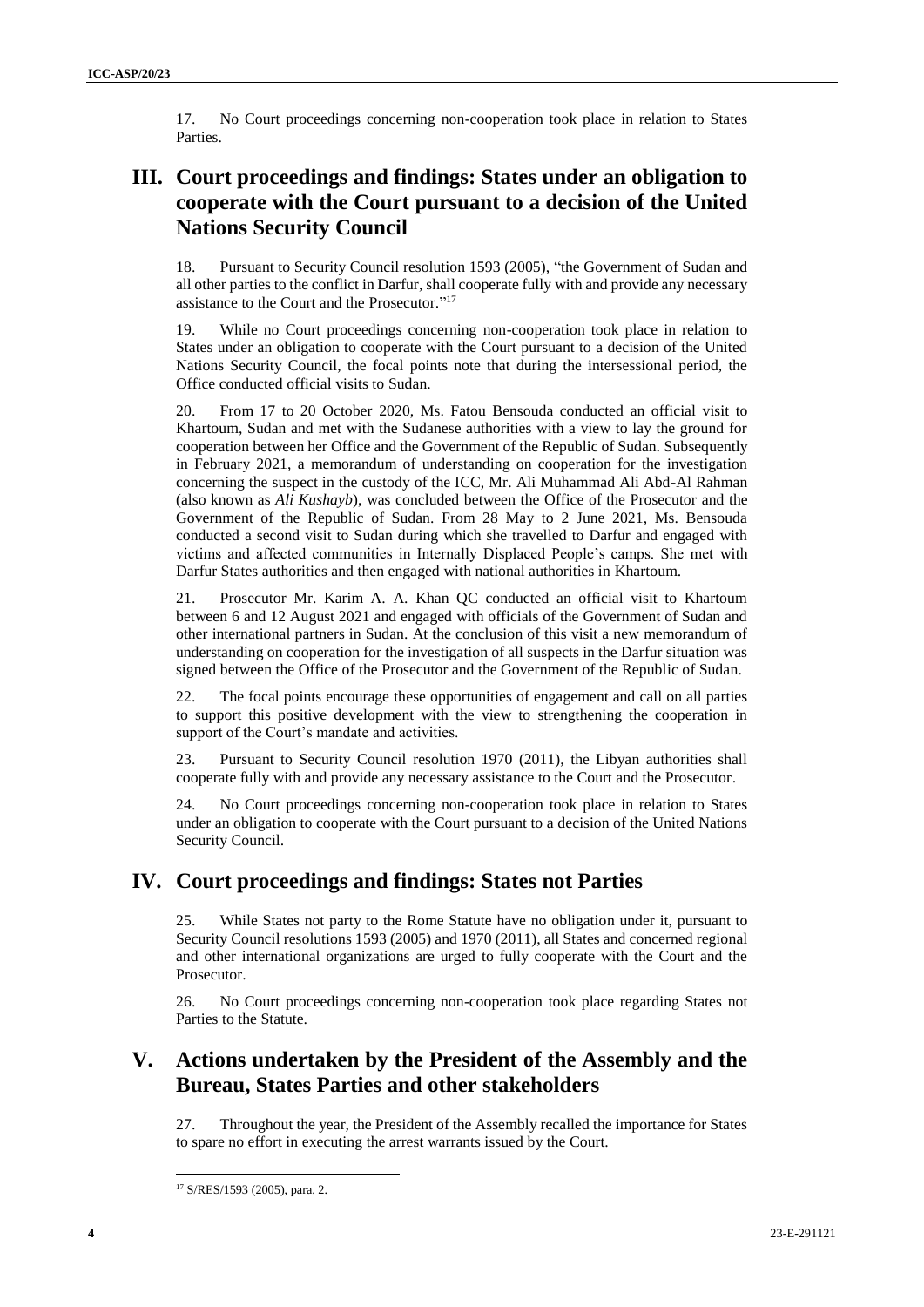17. No Court proceedings concerning non-cooperation took place in relation to States Parties.

# **III. Court proceedings and findings: States under an obligation to cooperate with the Court pursuant to a decision of the United Nations Security Council**

18. Pursuant to Security Council resolution 1593 (2005), "the Government of Sudan and all other parties to the conflict in Darfur, shall cooperate fully with and provide any necessary assistance to the Court and the Prosecutor." 17

19. While no Court proceedings concerning non-cooperation took place in relation to States under an obligation to cooperate with the Court pursuant to a decision of the United Nations Security Council, the focal points note that during the intersessional period, the Office conducted official visits to Sudan.

20. From 17 to 20 October 2020, Ms. Fatou Bensouda conducted an official visit to Khartoum, Sudan and met with the Sudanese authorities with a view to lay the ground for cooperation between her Office and the Government of the Republic of Sudan. Subsequently in February 2021, a memorandum of understanding on cooperation for the investigation concerning the suspect in the custody of the ICC, Mr. Ali Muhammad Ali Abd-Al Rahman (also known as *Ali Kushayb*), was concluded between the Office of the Prosecutor and the Government of the Republic of Sudan. From 28 May to 2 June 2021, Ms. Bensouda conducted a second visit to Sudan during which she travelled to Darfur and engaged with victims and affected communities in Internally Displaced People's camps. She met with Darfur States authorities and then engaged with national authorities in Khartoum.

21. Prosecutor Mr. Karim A. A. Khan QC conducted an official visit to Khartoum between 6 and 12 August 2021 and engaged with officials of the Government of Sudan and other international partners in Sudan. At the conclusion of this visit a new memorandum of understanding on cooperation for the investigation of all suspects in the Darfur situation was signed between the Office of the Prosecutor and the Government of the Republic of Sudan.

22. The focal points encourage these opportunities of engagement and call on all parties to support this positive development with the view to strengthening the cooperation in support of the Court's mandate and activities.

23. Pursuant to Security Council resolution 1970 (2011), the Libyan authorities shall cooperate fully with and provide any necessary assistance to the Court and the Prosecutor.

24. No Court proceedings concerning non-cooperation took place in relation to States under an obligation to cooperate with the Court pursuant to a decision of the United Nations Security Council.

# **IV. Court proceedings and findings: States not Parties**

25. While States not party to the Rome Statute have no obligation under it, pursuant to Security Council resolutions 1593 (2005) and 1970 (2011), all States and concerned regional and other international organizations are urged to fully cooperate with the Court and the Prosecutor.

26. No Court proceedings concerning non-cooperation took place regarding States not Parties to the Statute.

# **V. Actions undertaken by the President of the Assembly and the Bureau, States Parties and other stakeholders**

27. Throughout the year, the President of the Assembly recalled the importance for States to spare no effort in executing the arrest warrants issued by the Court.

<sup>17</sup> S/RES/1593 (2005), para. 2.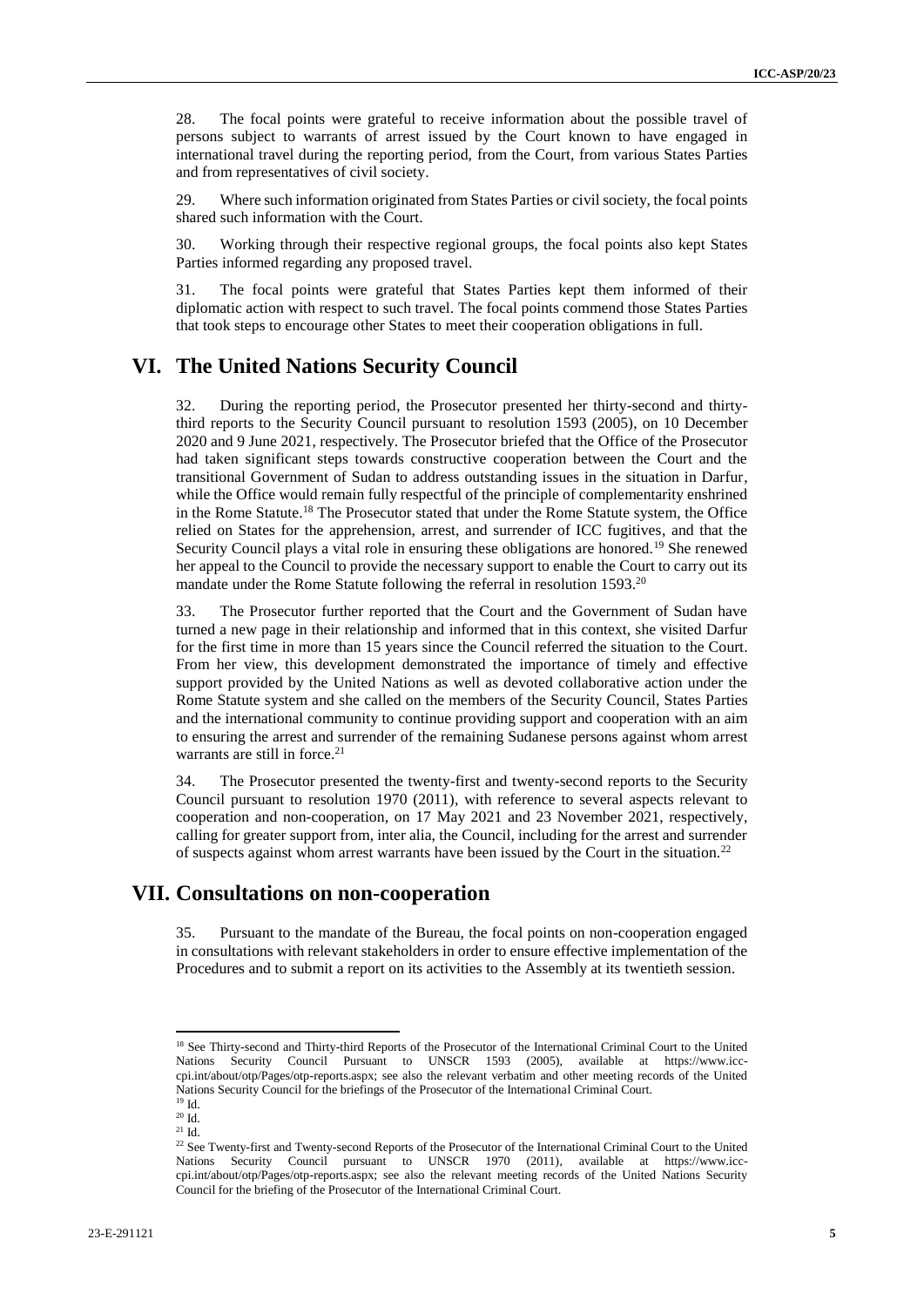28. The focal points were grateful to receive information about the possible travel of persons subject to warrants of arrest issued by the Court known to have engaged in international travel during the reporting period, from the Court, from various States Parties and from representatives of civil society.

29. Where such information originated from States Parties or civil society, the focal points shared such information with the Court.

30. Working through their respective regional groups, the focal points also kept States Parties informed regarding any proposed travel.

31. The focal points were grateful that States Parties kept them informed of their diplomatic action with respect to such travel. The focal points commend those States Parties that took steps to encourage other States to meet their cooperation obligations in full.

#### **VI. The United Nations Security Council**

32. During the reporting period, the Prosecutor presented her thirty-second and thirtythird reports to the Security Council pursuant to resolution 1593 (2005), on 10 December 2020 and 9 June 2021, respectively. The Prosecutor briefed that the Office of the Prosecutor had taken significant steps towards constructive cooperation between the Court and the transitional Government of Sudan to address outstanding issues in the situation in Darfur, while the Office would remain fully respectful of the principle of complementarity enshrined in the Rome Statute. <sup>18</sup> The Prosecutor stated that under the Rome Statute system, the Office relied on States for the apprehension, arrest, and surrender of ICC fugitives, and that the Security Council plays a vital role in ensuring these obligations are honored.<sup>19</sup> She renewed her appeal to the Council to provide the necessary support to enable the Court to carry out its mandate under the Rome Statute following the referral in resolution 1593.<sup>20</sup>

33. The Prosecutor further reported that the Court and the Government of Sudan have turned a new page in their relationship and informed that in this context, she visited Darfur for the first time in more than 15 years since the Council referred the situation to the Court. From her view, this development demonstrated the importance of timely and effective support provided by the United Nations as well as devoted collaborative action under the Rome Statute system and she called on the members of the Security Council, States Parties and the international community to continue providing support and cooperation with an aim to ensuring the arrest and surrender of the remaining Sudanese persons against whom arrest warrants are still in force.<sup>21</sup>

34. The Prosecutor presented the twenty-first and twenty-second reports to the Security Council pursuant to resolution 1970 (2011), with reference to several aspects relevant to cooperation and non-cooperation, on 17 May 2021 and 23 November 2021, respectively, calling for greater support from, inter alia, the Council, including for the arrest and surrender of suspects against whom arrest warrants have been issued by the Court in the situation.<sup>22</sup>

#### **VII. Consultations on non-cooperation**

35. Pursuant to the mandate of the Bureau, the focal points on non-cooperation engaged in consultations with relevant stakeholders in order to ensure effective implementation of the Procedures and to submit a report on its activities to the Assembly at its twentieth session.

<sup>&</sup>lt;sup>18</sup> See Thirty-second and Thirty-third Reports of the Prosecutor of the International Criminal Court to the United Nations Security Council Pursuant to UNSCR 1593 (2005), available at https://www.icccpi.int/about/otp/Pages/otp-reports.aspx; see also the relevant verbatim and other meeting records of the United Nations Security Council for the briefings of the Prosecutor of the International Criminal Court. <sup>19</sup> Id.

 $20$  Id.

 $21$  Id.

<sup>&</sup>lt;sup>22</sup> See Twenty-first and Twenty-second Reports of the Prosecutor of the International Criminal Court to the United Nations Security Council pursuant to UNSCR 1970 (2011), available at https://www.icccpi.int/about/otp/Pages/otp-reports.aspx; see also the relevant meeting records of the United Nations Security Council for the briefing of the Prosecutor of the International Criminal Court.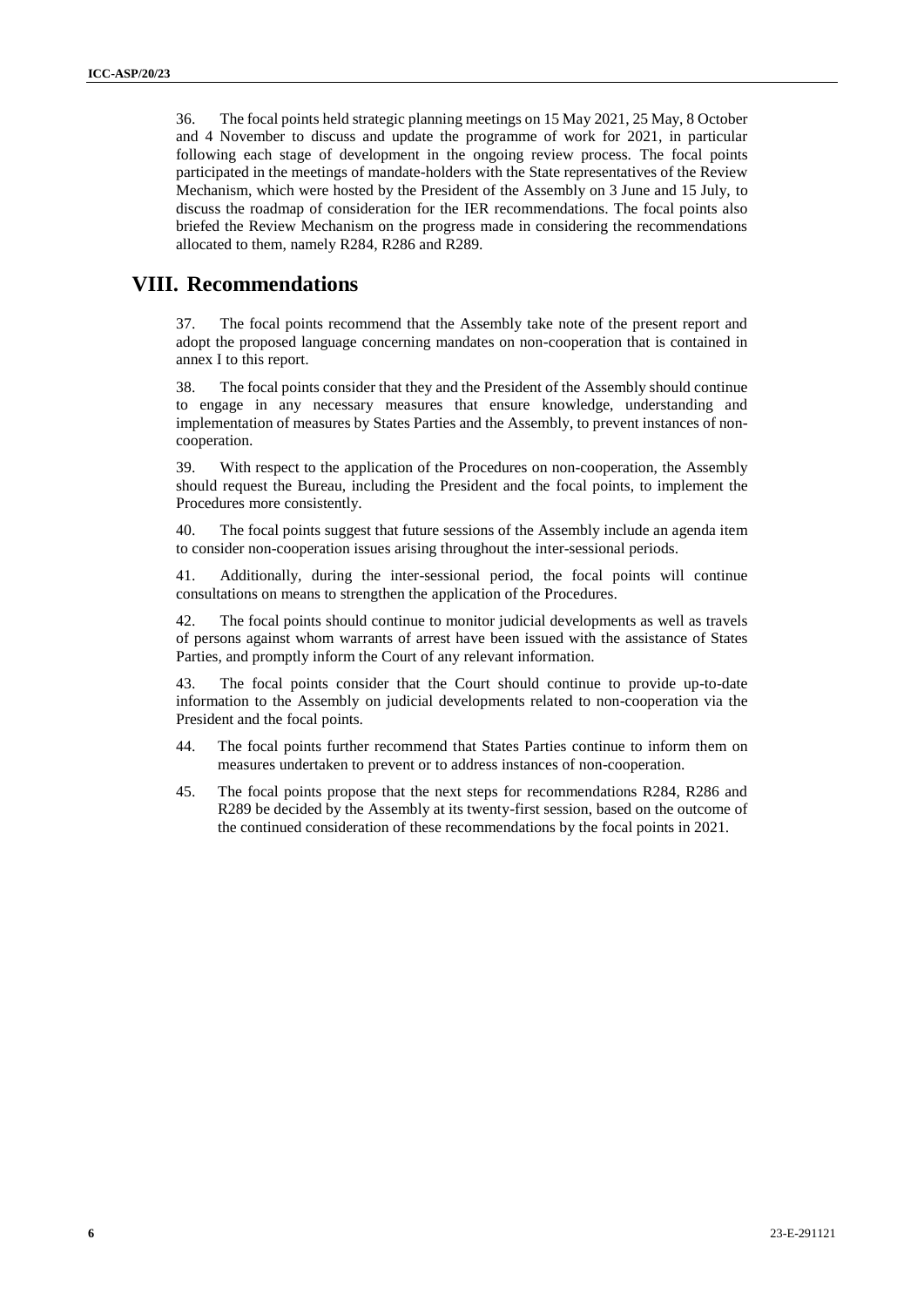36. The focal points held strategic planning meetings on 15 May 2021, 25 May, 8 October and 4 November to discuss and update the programme of work for 2021, in particular following each stage of development in the ongoing review process. The focal points participated in the meetings of mandate-holders with the State representatives of the Review Mechanism, which were hosted by the President of the Assembly on 3 June and 15 July, to discuss the roadmap of consideration for the IER recommendations. The focal points also briefed the Review Mechanism on the progress made in considering the recommendations allocated to them, namely R284, R286 and R289.

#### **VIII. Recommendations**

37. The focal points recommend that the Assembly take note of the present report and adopt the proposed language concerning mandates on non-cooperation that is contained in annex I to this report.

38. The focal points consider that they and the President of the Assembly should continue to engage in any necessary measures that ensure knowledge, understanding and implementation of measures by States Parties and the Assembly, to prevent instances of noncooperation.

39. With respect to the application of the Procedures on non-cooperation, the Assembly should request the Bureau, including the President and the focal points, to implement the Procedures more consistently.

40. The focal points suggest that future sessions of the Assembly include an agenda item to consider non-cooperation issues arising throughout the inter-sessional periods.

41. Additionally, during the inter-sessional period, the focal points will continue consultations on means to strengthen the application of the Procedures.

42. The focal points should continue to monitor judicial developments as well as travels of persons against whom warrants of arrest have been issued with the assistance of States Parties, and promptly inform the Court of any relevant information.

43. The focal points consider that the Court should continue to provide up-to-date information to the Assembly on judicial developments related to non-cooperation via the President and the focal points.

- 44. The focal points further recommend that States Parties continue to inform them on measures undertaken to prevent or to address instances of non-cooperation.
- 45. The focal points propose that the next steps for recommendations R284, R286 and R289 be decided by the Assembly at its twenty-first session, based on the outcome of the continued consideration of these recommendations by the focal points in 2021.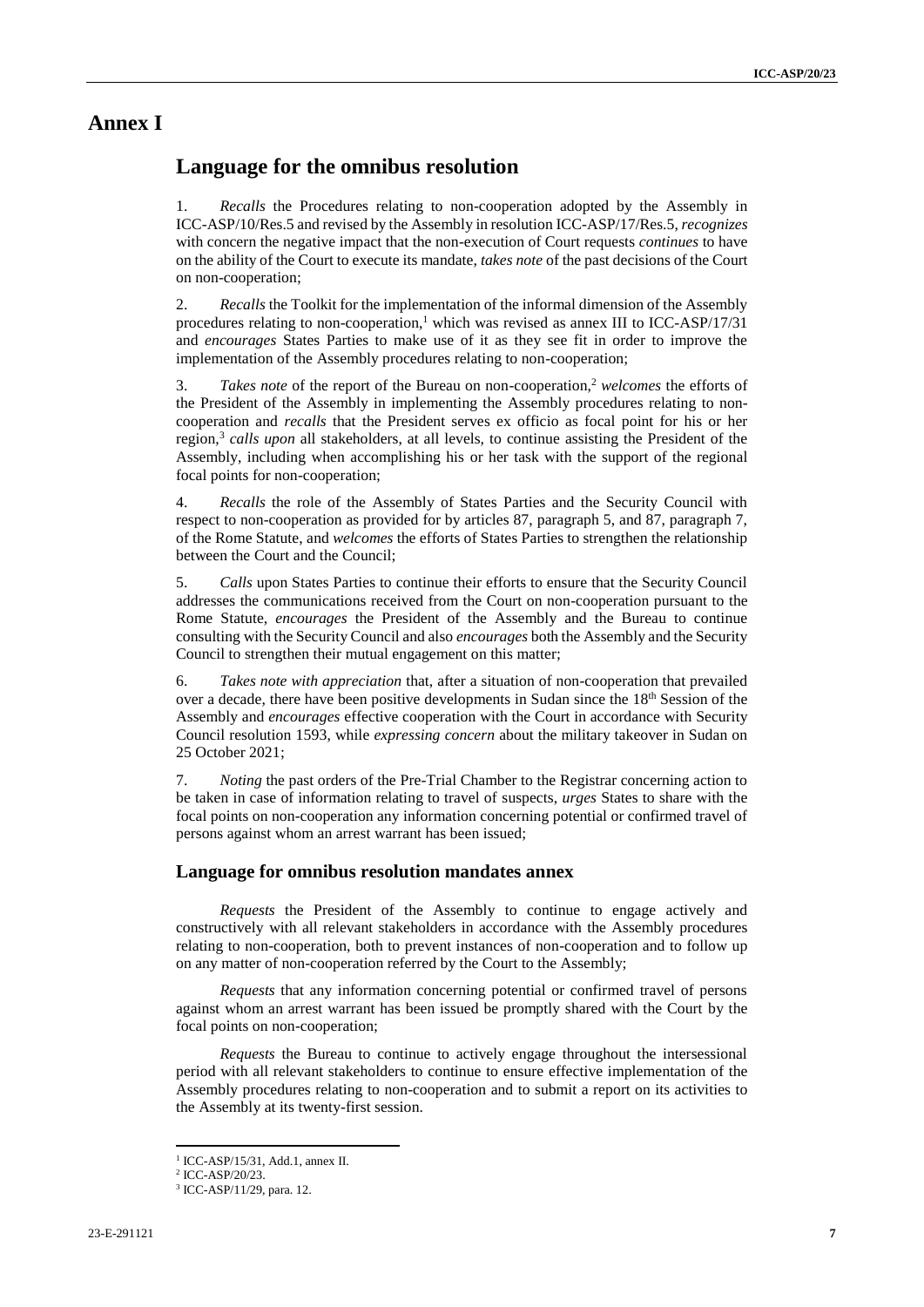#### **Annex I**

#### **Language for the omnibus resolution**

1. *Recalls* the Procedures relating to non-cooperation adopted by the Assembly in ICC-ASP/10/Res.5 and revised by the Assembly in resolution ICC-ASP/17/Res.5, *recognizes* with concern the negative impact that the non-execution of Court requests *continues* to have on the ability of the Court to execute its mandate, *takes note* of the past decisions of the Court on non-cooperation;

2. *Recalls* the Toolkit for the implementation of the informal dimension of the Assembly procedures relating to non-cooperation, <sup>1</sup> which was revised as annex III to ICC-ASP/17/31 and *encourages* States Parties to make use of it as they see fit in order to improve the implementation of the Assembly procedures relating to non-cooperation;

3. *Takes note* of the report of the Bureau on non-cooperation, <sup>2</sup> *welcomes* the efforts of the President of the Assembly in implementing the Assembly procedures relating to noncooperation and *recalls* that the President serves ex officio as focal point for his or her region, 3 *calls upon* all stakeholders, at all levels, to continue assisting the President of the Assembly, including when accomplishing his or her task with the support of the regional focal points for non-cooperation;

4. *Recalls* the role of the Assembly of States Parties and the Security Council with respect to non-cooperation as provided for by articles 87, paragraph 5, and 87, paragraph 7, of the Rome Statute, and *welcomes* the efforts of States Parties to strengthen the relationship between the Court and the Council;

5. *Calls* upon States Parties to continue their efforts to ensure that the Security Council addresses the communications received from the Court on non-cooperation pursuant to the Rome Statute, *encourages* the President of the Assembly and the Bureau to continue consulting with the Security Council and also *encourages* both the Assembly and the Security Council to strengthen their mutual engagement on this matter;

6. *Takes note with appreciation* that, after a situation of non-cooperation that prevailed over a decade, there have been positive developments in Sudan since the 18<sup>th</sup> Session of the Assembly and *encourages* effective cooperation with the Court in accordance with Security Council resolution 1593, while *expressing concern* about the military takeover in Sudan on 25 October 2021;

7. *Noting* the past orders of the Pre-Trial Chamber to the Registrar concerning action to be taken in case of information relating to travel of suspects, *urges* States to share with the focal points on non-cooperation any information concerning potential or confirmed travel of persons against whom an arrest warrant has been issued;

#### **Language for omnibus resolution mandates annex**

*Requests* the President of the Assembly to continue to engage actively and constructively with all relevant stakeholders in accordance with the Assembly procedures relating to non-cooperation, both to prevent instances of non-cooperation and to follow up on any matter of non-cooperation referred by the Court to the Assembly;

*Requests* that any information concerning potential or confirmed travel of persons against whom an arrest warrant has been issued be promptly shared with the Court by the focal points on non-cooperation;

*Requests* the Bureau to continue to actively engage throughout the intersessional period with all relevant stakeholders to continue to ensure effective implementation of the Assembly procedures relating to non-cooperation and to submit a report on its activities to the Assembly at its twenty-first session.

<sup>1</sup> ICC-ASP/15/31, Add.1, annex II.

<sup>2</sup> ICC-ASP/20/23.

<sup>3</sup> ICC-ASP/11/29, para. 12.